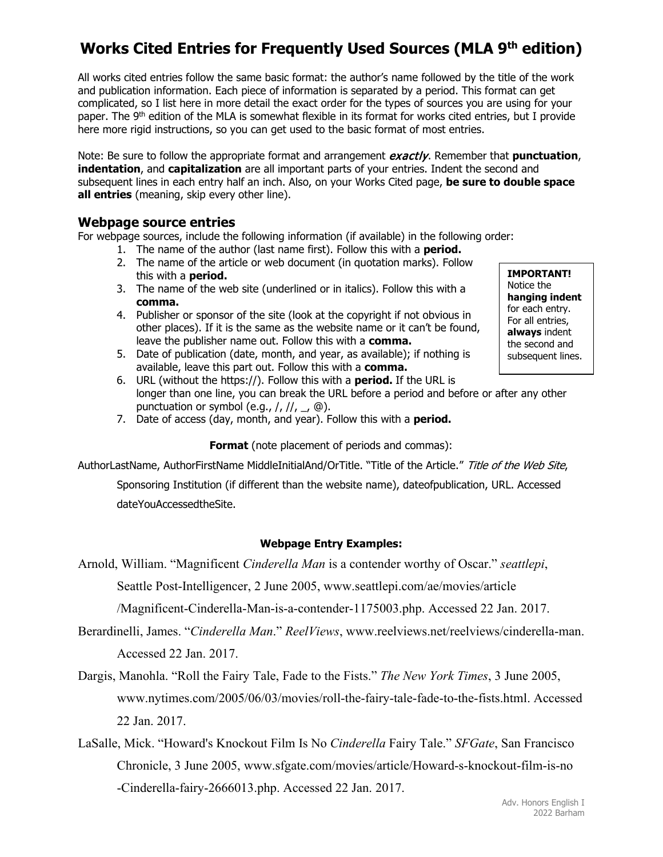# **Works Cited Entries for Frequently Used Sources (MLA 9th edition)**

All works cited entries follow the same basic format: the author's name followed by the title of the work and publication information. Each piece of information is separated by a period. This format can get complicated, so I list here in more detail the exact order for the types of sources you are using for your paper. The 9<sup>th</sup> edition of the MLA is somewhat flexible in its format for works cited entries, but I provide here more rigid instructions, so you can get used to the basic format of most entries.

Note: Be sure to follow the appropriate format and arrangement exactly. Remember that punctuation, **indentation**, and **capitalization** are all important parts of your entries. Indent the second and subsequent lines in each entry half an inch. Also, on your Works Cited page, **be sure to double space all entries** (meaning, skip every other line).

### **Webpage source entries**

For webpage sources, include the following information (if available) in the following order:

- 1. The name of the author (last name first). Follow this with a **period.**
- 2. The name of the article or web document (in quotation marks). Follow this with a **period.**
- 3. The name of the web site (underlined or in italics). Follow this with a **comma.**
- 4. Publisher or sponsor of the site (look at the copyright if not obvious in other places). If it is the same as the website name or it can't be found, leave the publisher name out. Follow this with a **comma.**
- 5. Date of publication (date, month, and year, as available); if nothing is available, leave this part out. Follow this with a **comma.**
- 6. URL (without the https://). Follow this with a **period.** If the URL is longer than one line, you can break the URL before a period and before or after any other punctuation or symbol (e.g.,  $/$ ,  $/$ /,  $/$ ,  $\circledcirc$ ).
- 7. Date of access (day, month, and year). Follow this with a **period.**

**Format** (note placement of periods and commas):

AuthorLastName, AuthorFirstName MiddleInitialAnd/OrTitle. "Title of the Article." Title of the Web Site,

Sponsoring Institution (if different than the website name), dateofpublication, URL. Accessed dateYouAccessedtheSite.

### **Webpage Entry Examples:**

Arnold, William. "Magnificent *Cinderella Man* is a contender worthy of Oscar." *seattlepi*, Seattle Post-Intelligencer, 2 June 2005, www.seattlepi.com/ae/movies/article /Magnificent-Cinderella-Man-is-a-contender-1175003.php. Accessed 22 Jan. 2017.

- Berardinelli, James. "*Cinderella Man*." *ReelViews*, www.reelviews.net/reelviews/cinderella-man. Accessed 22 Jan. 2017.
- Dargis, Manohla. "Roll the Fairy Tale, Fade to the Fists." *The New York Times*, 3 June 2005, www.nytimes.com/2005/06/03/movies/roll-the-fairy-tale-fade-to-the-fists.html. Accessed 22 Jan. 2017.
- LaSalle, Mick. "Howard's Knockout Film Is No *Cinderella* Fairy Tale." *SFGate*, San Francisco Chronicle, 3 June 2005, www.sfgate.com/movies/article/Howard-s-knockout-film-is-no -Cinderella-fairy-2666013.php. Accessed 22 Jan. 2017.

**IMPORTANT!**  Notice the **hanging indent** for each entry. For all entries, **always** indent the second and subsequent lines.